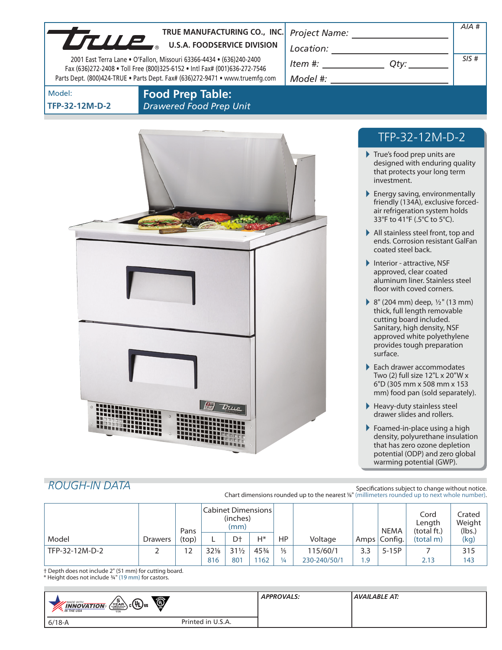|                          | TRUE MANUFACTURING CO., INC.<br>TRUE MANUFACTURING CO., INC<br>2001 East Terra Lane . O'Fallon, Missouri 63366-4434 . (636)240-2400<br>Fax (636)272-2408 . Toll Free (800)325-6152 . Intl Fax# (001)636-272-7546<br>Parts Dept. (800)424-TRUE . Parts Dept. Fax# (636)272-9471 . www.truemfg.com | $\begin{picture}(150,10) \put(0,0){\vector(1,0){100}} \put(15,0){\vector(1,0){100}} \put(15,0){\vector(1,0){100}} \put(15,0){\vector(1,0){100}} \put(15,0){\vector(1,0){100}} \put(15,0){\vector(1,0){100}} \put(15,0){\vector(1,0){100}} \put(15,0){\vector(1,0){100}} \put(15,0){\vector(1,0){100}} \put(15,0){\vector(1,0){100}} \put(15,0){\vector(1,0){100}}$<br>$Item #: __________ Qty: __________$ | AIA#<br>SIS# |  |
|--------------------------|--------------------------------------------------------------------------------------------------------------------------------------------------------------------------------------------------------------------------------------------------------------------------------------------------|------------------------------------------------------------------------------------------------------------------------------------------------------------------------------------------------------------------------------------------------------------------------------------------------------------------------------------------------------------------------------------------------------------|--------------|--|
| Model:<br>TFP-32-12M-D-2 | <b>Food Prep Table:</b><br><b>Drawered Food Prep Unit</b>                                                                                                                                                                                                                                        |                                                                                                                                                                                                                                                                                                                                                                                                            |              |  |
|                          |                                                                                                                                                                                                                                                                                                  | TFP-32-12M-D-2<br>True's food prep units are                                                                                                                                                                                                                                                                                                                                                               |              |  |
|                          |                                                                                                                                                                                                                                                                                                  | designed with enduring quality<br>that protects your long term<br>investment.                                                                                                                                                                                                                                                                                                                              |              |  |
|                          |                                                                                                                                                                                                                                                                                                  | $\blacktriangleright$ Energy saving, environmentally<br>friendly (134A), exclusive forced-<br>air refrigeration system holds<br>33°F to 41°F (.5°C to 5°C).                                                                                                                                                                                                                                                |              |  |
|                          |                                                                                                                                                                                                                                                                                                  | $\blacktriangleright$ All stainless steel front, top and<br>ends. Corrosion resistant GalFan<br>coated steel back.                                                                                                                                                                                                                                                                                         |              |  |
|                          |                                                                                                                                                                                                                                                                                                  | Interior - attractive, NSF<br>approved, clear coated<br>aluminum liner. Stainless steel<br>floor with coved corners.                                                                                                                                                                                                                                                                                       |              |  |
|                          |                                                                                                                                                                                                                                                                                                  | ▶ 8" (204 mm) deep, $\frac{1}{2}$ " (13 mm)<br>thick, full length removable<br>cutting board included.<br>Sanitary, high density, NSF<br>approved white polyethylene<br>provides tough preparation<br>surface.                                                                                                                                                                                             |              |  |
|                          |                                                                                                                                                                                                                                                                                                  | $\blacktriangleright$ Each drawer accommodates<br>Two (2) full size 12"L x 20"W x<br>6"D (305 mm x 508 mm x 153<br>mm) food pan (sold separately).                                                                                                                                                                                                                                                         |              |  |
|                          | True                                                                                                                                                                                                                                                                                             | $\blacktriangleright$ Heavy-duty stainless steel<br>drawer slides and rollers.                                                                                                                                                                                                                                                                                                                             |              |  |
|                          |                                                                                                                                                                                                                                                                                                  | $\blacktriangleright$ Foamed-in-place using a high<br>density, polyurethane insulation<br>that has zero ozone depletion<br>potential (ODP) and zero global<br>warming potential (GWP).                                                                                                                                                                                                                     |              |  |

# *ROUGH-IN DATA*

×

Specifications subject to change without notice. Chart dimensions rounded up to the nearest <sup>1</sup>/8" (millimeters rounded up to next whole number).

|                |                | Pans  | Cabinet Dimensions<br>(inches)<br>(mm) |                 |       |               |              | <b>NEMA</b> | Cord<br>Length<br>(total ft.) | Crated<br>Weight<br>(lbs.) |      |
|----------------|----------------|-------|----------------------------------------|-----------------|-------|---------------|--------------|-------------|-------------------------------|----------------------------|------|
| Model          | <b>Drawers</b> | (top) |                                        | Dt              | $H^*$ | <b>HP</b>     | Voltage      | Amps        | Config.                       | (total m)                  | (kg) |
| TFP-32-12M-D-2 |                | 12    | 32%                                    | $31\frac{1}{2}$ | 453/4 | $\frac{1}{5}$ | 115/60/1     | 3.3         | $5-15P$                       |                            | 315  |
|                |                |       | 816                                    | 801             | 1162  | $\frac{1}{4}$ | 230-240/50/1 | . 9         |                               | 2.13                       | 143  |

† Depth does not include 2" (51 mm) for cutting board.

\* Height does not include 3/4" (19 mm) for castors.

| $\bullet$<br>$\sqrt{\frac{5}{2}}$ $c$ $(4)$ us<br><b>*</b> MADE WITH<br><b>INNOVATION</b><br><b>AN THE USA</b><br><b>USA</b> |                   | <b>APPROVALS:</b> | <b>AVAILABLE AT:</b> |  |  |
|------------------------------------------------------------------------------------------------------------------------------|-------------------|-------------------|----------------------|--|--|
| 6/18-A                                                                                                                       | Printed in U.S.A. |                   |                      |  |  |